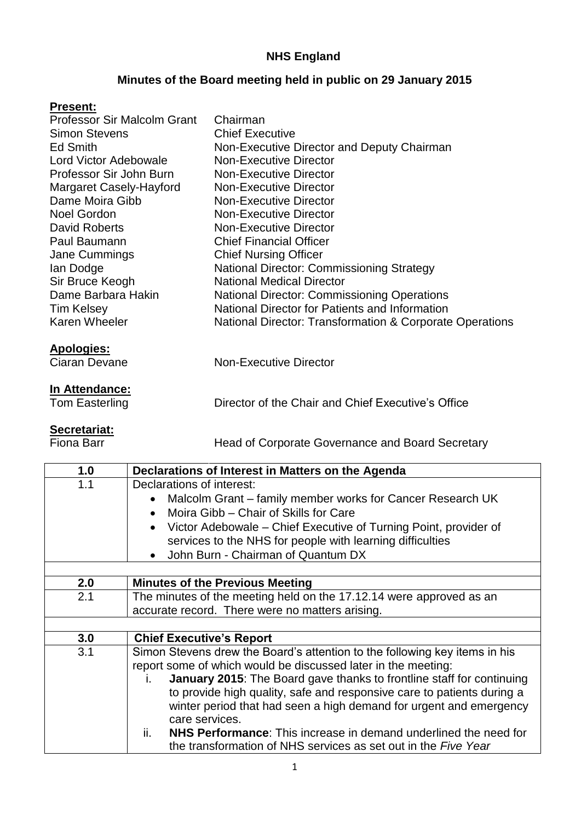### **NHS England**

### **Minutes of the Board meeting held in public on 29 January 2015**

#### **Present:**

| Professor Sir Malcolm Grant | Chairman                                                 |
|-----------------------------|----------------------------------------------------------|
| <b>Simon Stevens</b>        | <b>Chief Executive</b>                                   |
| Ed Smith                    | Non-Executive Director and Deputy Chairman               |
| Lord Victor Adebowale       | <b>Non-Executive Director</b>                            |
| Professor Sir John Burn     | <b>Non-Executive Director</b>                            |
| Margaret Casely-Hayford     | <b>Non-Executive Director</b>                            |
| Dame Moira Gibb             | <b>Non-Executive Director</b>                            |
| Noel Gordon                 | <b>Non-Executive Director</b>                            |
| David Roberts               | <b>Non-Executive Director</b>                            |
| Paul Baumann                | <b>Chief Financial Officer</b>                           |
| Jane Cummings               | <b>Chief Nursing Officer</b>                             |
| lan Dodge                   | <b>National Director: Commissioning Strategy</b>         |
| Sir Bruce Keogh             | <b>National Medical Director</b>                         |
| Dame Barbara Hakin          | <b>National Director: Commissioning Operations</b>       |
| <b>Tim Kelsey</b>           | National Director for Patients and Information           |
| <b>Karen Wheeler</b>        | National Director: Transformation & Corporate Operations |
|                             |                                                          |

#### **Apologies:**

| Ciaran Devane | Non-Executive Director |  |
|---------------|------------------------|--|
|               |                        |  |

# **In Attendance:**<br>Tom Easterling

## **Secretariat:**<br>Fiona Barr

Head of Corporate Governance and Board Secretary

Director of the Chair and Chief Executive's Office

| 1.0 | Declarations of Interest in Matters on the Agenda                                                                                                                     |
|-----|-----------------------------------------------------------------------------------------------------------------------------------------------------------------------|
| 1.1 | Declarations of interest:<br>Malcolm Grant – family member works for Cancer Research UK<br>$\bullet$<br>Moira Gibb - Chair of Skills for Care                         |
|     | Victor Adebowale – Chief Executive of Turning Point, provider of<br>services to the NHS for people with learning difficulties<br>• John Burn - Chairman of Quantum DX |
|     |                                                                                                                                                                       |
| 2.0 | <b>Minutes of the Previous Meeting</b>                                                                                                                                |
| 2.1 | The minutes of the meeting held on the 17.12.14 were approved as an                                                                                                   |
|     | accurate record. There were no matters arising.                                                                                                                       |
|     |                                                                                                                                                                       |
| 3.0 | <b>Chief Executive's Report</b>                                                                                                                                       |
| 3.1 | Simon Stevens drew the Board's attention to the following key items in his                                                                                            |
|     | report some of which would be discussed later in the meeting:                                                                                                         |
|     | January 2015: The Board gave thanks to frontline staff for continuing<br>Ĺ.                                                                                           |
|     | to provide high quality, safe and responsive care to patients during a                                                                                                |
|     | winter period that had seen a high demand for urgent and emergency                                                                                                    |
|     | care services.                                                                                                                                                        |
|     | ii.<br><b>NHS Performance:</b> This increase in demand underlined the need for                                                                                        |
|     | the transformation of NHS services as set out in the Five Year                                                                                                        |
|     |                                                                                                                                                                       |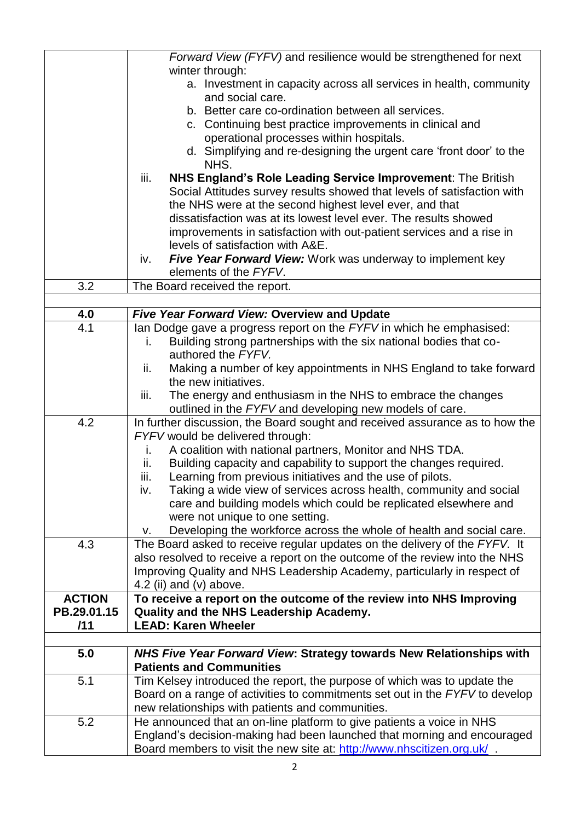|               | Forward View (FYFV) and resilience would be strengthened for next                                      |
|---------------|--------------------------------------------------------------------------------------------------------|
|               | winter through:                                                                                        |
|               | a. Investment in capacity across all services in health, community                                     |
|               | and social care.                                                                                       |
|               | b. Better care co-ordination between all services.                                                     |
|               | c. Continuing best practice improvements in clinical and                                               |
|               | operational processes within hospitals.                                                                |
|               | d. Simplifying and re-designing the urgent care 'front door' to the<br>NHS.                            |
|               | <b>NHS England's Role Leading Service Improvement: The British</b><br>iii.                             |
|               | Social Attitudes survey results showed that levels of satisfaction with                                |
|               | the NHS were at the second highest level ever, and that                                                |
|               | dissatisfaction was at its lowest level ever. The results showed                                       |
|               | improvements in satisfaction with out-patient services and a rise in                                   |
|               | levels of satisfaction with A&E.                                                                       |
|               | <b>Five Year Forward View:</b> Work was underway to implement key<br>iv.                               |
|               | elements of the FYFV.                                                                                  |
| 3.2           | The Board received the report.                                                                         |
|               |                                                                                                        |
| 4.0           | Five Year Forward View: Overview and Update                                                            |
| 4.1           | lan Dodge gave a progress report on the FYFV in which he emphasised:                                   |
|               | Building strong partnerships with the six national bodies that co-<br>i.                               |
|               | authored the FYFV.                                                                                     |
|               | Making a number of key appointments in NHS England to take forward<br>ii.                              |
|               | the new initiatives.                                                                                   |
|               | The energy and enthusiasm in the NHS to embrace the changes<br>iii.                                    |
|               | outlined in the FYFV and developing new models of care.                                                |
| 4.2           | In further discussion, the Board sought and received assurance as to how the                           |
|               | FYFV would be delivered through:                                                                       |
|               | A coalition with national partners, Monitor and NHS TDA.<br>i.                                         |
|               | Building capacity and capability to support the changes required.<br>ii.                               |
|               | Learning from previous initiatives and the use of pilots.<br>iii.                                      |
|               | Taking a wide view of services across health, community and social<br>iv.                              |
|               | care and building models which could be replicated elsewhere and                                       |
|               | were not unique to one setting.                                                                        |
|               | Developing the workforce across the whole of health and social care.<br>v.                             |
| 4.3           | The Board asked to receive regular updates on the delivery of the FYFV. It                             |
|               | also resolved to receive a report on the outcome of the review into the NHS                            |
|               | Improving Quality and NHS Leadership Academy, particularly in respect of                               |
|               | 4.2 (ii) and $(v)$ above.                                                                              |
| <b>ACTION</b> | To receive a report on the outcome of the review into NHS Improving                                    |
| PB.29.01.15   | Quality and the NHS Leadership Academy.                                                                |
| /11           | <b>LEAD: Karen Wheeler</b>                                                                             |
|               |                                                                                                        |
| 5.0           | NHS Five Year Forward View: Strategy towards New Relationships with<br><b>Patients and Communities</b> |
| 5.1           | Tim Kelsey introduced the report, the purpose of which was to update the                               |
|               | Board on a range of activities to commitments set out in the FYFV to develop                           |
|               | new relationships with patients and communities.                                                       |
| 5.2           | He announced that an on-line platform to give patients a voice in NHS                                  |
|               | England's decision-making had been launched that morning and encouraged                                |
|               | Board members to visit the new site at: http://www.nhscitizen.org.uk/                                  |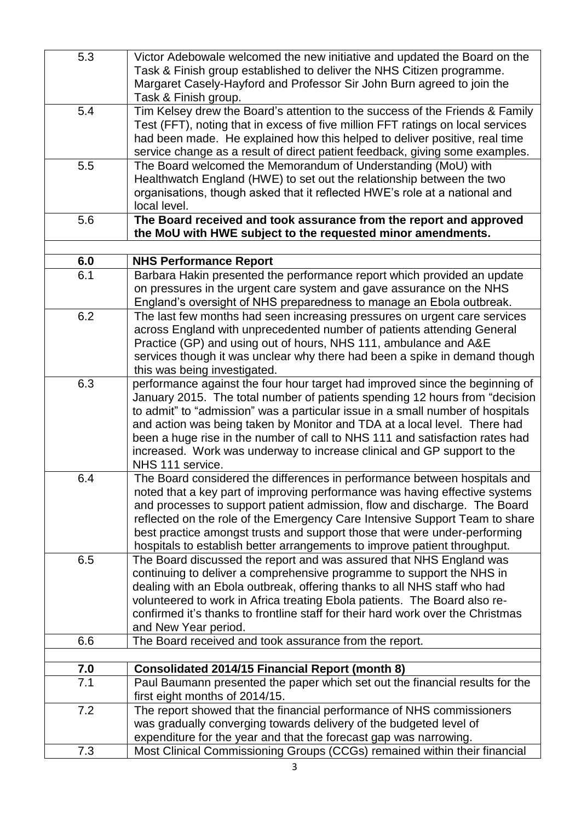| 5.3 | Victor Adebowale welcomed the new initiative and updated the Board on the       |
|-----|---------------------------------------------------------------------------------|
|     | Task & Finish group established to deliver the NHS Citizen programme.           |
|     | Margaret Casely-Hayford and Professor Sir John Burn agreed to join the          |
|     | Task & Finish group.                                                            |
| 5.4 | Tim Kelsey drew the Board's attention to the success of the Friends & Family    |
|     | Test (FFT), noting that in excess of five million FFT ratings on local services |
|     | had been made. He explained how this helped to deliver positive, real time      |
|     | service change as a result of direct patient feedback, giving some examples.    |
| 5.5 | The Board welcomed the Memorandum of Understanding (MoU) with                   |
|     | Healthwatch England (HWE) to set out the relationship between the two           |
|     | organisations, though asked that it reflected HWE's role at a national and      |
|     | local level.                                                                    |
| 5.6 | The Board received and took assurance from the report and approved              |
|     | the MoU with HWE subject to the requested minor amendments.                     |
|     |                                                                                 |
| 6.0 | <b>NHS Performance Report</b>                                                   |
| 6.1 | Barbara Hakin presented the performance report which provided an update         |
|     | on pressures in the urgent care system and gave assurance on the NHS            |
|     | England's oversight of NHS preparedness to manage an Ebola outbreak.            |
| 6.2 | The last few months had seen increasing pressures on urgent care services       |
|     | across England with unprecedented number of patients attending General          |
|     | Practice (GP) and using out of hours, NHS 111, ambulance and A&E                |
|     | services though it was unclear why there had been a spike in demand though      |
|     | this was being investigated.                                                    |
| 6.3 | performance against the four hour target had improved since the beginning of    |
|     | January 2015. The total number of patients spending 12 hours from "decision     |
|     | to admit" to "admission" was a particular issue in a small number of hospitals  |
|     | and action was being taken by Monitor and TDA at a local level. There had       |
|     | been a huge rise in the number of call to NHS 111 and satisfaction rates had    |
|     | increased. Work was underway to increase clinical and GP support to the         |
|     | NHS 111 service.                                                                |
| 6.4 | The Board considered the differences in performance between hospitals and       |
|     | noted that a key part of improving performance was having effective systems     |
|     | and processes to support patient admission, flow and discharge. The Board       |
|     | reflected on the role of the Emergency Care Intensive Support Team to share     |
|     | best practice amongst trusts and support those that were under-performing       |
|     | hospitals to establish better arrangements to improve patient throughput.       |
| 6.5 | The Board discussed the report and was assured that NHS England was             |
|     | continuing to deliver a comprehensive programme to support the NHS in           |
|     | dealing with an Ebola outbreak, offering thanks to all NHS staff who had        |
|     | volunteered to work in Africa treating Ebola patients. The Board also re-       |
|     | confirmed it's thanks to frontline staff for their hard work over the Christmas |
|     | and New Year period.                                                            |
| 6.6 | The Board received and took assurance from the report.                          |
|     |                                                                                 |
| 7.0 | <b>Consolidated 2014/15 Financial Report (month 8)</b>                          |
| 7.1 | Paul Baumann presented the paper which set out the financial results for the    |
|     | first eight months of 2014/15.                                                  |
| 7.2 | The report showed that the financial performance of NHS commissioners           |
|     | was gradually converging towards delivery of the budgeted level of              |
|     | expenditure for the year and that the forecast gap was narrowing.               |
| 7.3 | Most Clinical Commissioning Groups (CCGs) remained within their financial       |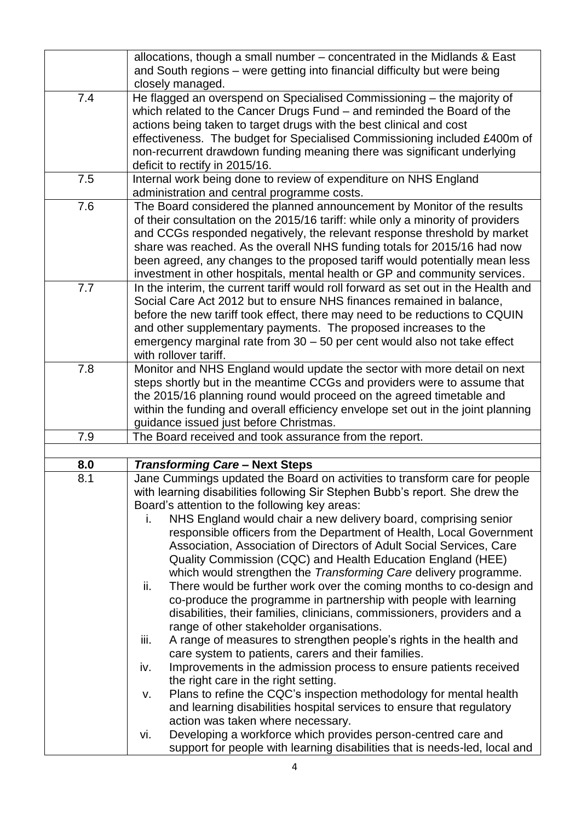|     | allocations, though a small number – concentrated in the Midlands & East<br>and South regions - were getting into financial difficulty but were being<br>closely managed.                                                                                                                                                                                                                                                                                                                                                                                                                                                                                                                                                                                                                                                                                                                                                          |
|-----|------------------------------------------------------------------------------------------------------------------------------------------------------------------------------------------------------------------------------------------------------------------------------------------------------------------------------------------------------------------------------------------------------------------------------------------------------------------------------------------------------------------------------------------------------------------------------------------------------------------------------------------------------------------------------------------------------------------------------------------------------------------------------------------------------------------------------------------------------------------------------------------------------------------------------------|
| 7.4 | He flagged an overspend on Specialised Commissioning - the majority of<br>which related to the Cancer Drugs Fund - and reminded the Board of the<br>actions being taken to target drugs with the best clinical and cost<br>effectiveness. The budget for Specialised Commissioning included £400m of<br>non-recurrent drawdown funding meaning there was significant underlying<br>deficit to rectify in 2015/16.                                                                                                                                                                                                                                                                                                                                                                                                                                                                                                                  |
| 7.5 | Internal work being done to review of expenditure on NHS England<br>administration and central programme costs.                                                                                                                                                                                                                                                                                                                                                                                                                                                                                                                                                                                                                                                                                                                                                                                                                    |
| 7.6 | The Board considered the planned announcement by Monitor of the results<br>of their consultation on the 2015/16 tariff: while only a minority of providers<br>and CCGs responded negatively, the relevant response threshold by market<br>share was reached. As the overall NHS funding totals for 2015/16 had now<br>been agreed, any changes to the proposed tariff would potentially mean less<br>investment in other hospitals, mental health or GP and community services.                                                                                                                                                                                                                                                                                                                                                                                                                                                    |
| 7.7 | In the interim, the current tariff would roll forward as set out in the Health and<br>Social Care Act 2012 but to ensure NHS finances remained in balance,<br>before the new tariff took effect, there may need to be reductions to CQUIN<br>and other supplementary payments. The proposed increases to the<br>emergency marginal rate from 30 - 50 per cent would also not take effect<br>with rollover tariff.                                                                                                                                                                                                                                                                                                                                                                                                                                                                                                                  |
| 7.8 | Monitor and NHS England would update the sector with more detail on next<br>steps shortly but in the meantime CCGs and providers were to assume that<br>the 2015/16 planning round would proceed on the agreed timetable and<br>within the funding and overall efficiency envelope set out in the joint planning<br>guidance issued just before Christmas.                                                                                                                                                                                                                                                                                                                                                                                                                                                                                                                                                                         |
| 7.9 | The Board received and took assurance from the report.                                                                                                                                                                                                                                                                                                                                                                                                                                                                                                                                                                                                                                                                                                                                                                                                                                                                             |
|     |                                                                                                                                                                                                                                                                                                                                                                                                                                                                                                                                                                                                                                                                                                                                                                                                                                                                                                                                    |
| 8.0 | <b>Transforming Care - Next Steps</b>                                                                                                                                                                                                                                                                                                                                                                                                                                                                                                                                                                                                                                                                                                                                                                                                                                                                                              |
| 8.1 | Jane Cummings updated the Board on activities to transform care for people<br>with learning disabilities following Sir Stephen Bubb's report. She drew the<br>Board's attention to the following key areas:<br>NHS England would chair a new delivery board, comprising senior<br>i.<br>responsible officers from the Department of Health, Local Government<br>Association, Association of Directors of Adult Social Services, Care<br>Quality Commission (CQC) and Health Education England (HEE)<br>which would strengthen the Transforming Care delivery programme.<br>ii.<br>There would be further work over the coming months to co-design and<br>co-produce the programme in partnership with people with learning<br>disabilities, their families, clinicians, commissioners, providers and a<br>range of other stakeholder organisations.<br>iii.<br>A range of measures to strengthen people's rights in the health and |
|     | care system to patients, carers and their families.<br>Improvements in the admission process to ensure patients received<br>iv.<br>the right care in the right setting.                                                                                                                                                                                                                                                                                                                                                                                                                                                                                                                                                                                                                                                                                                                                                            |
|     | Plans to refine the CQC's inspection methodology for mental health<br>v.<br>and learning disabilities hospital services to ensure that regulatory<br>action was taken where necessary.                                                                                                                                                                                                                                                                                                                                                                                                                                                                                                                                                                                                                                                                                                                                             |
|     | Developing a workforce which provides person-centred care and<br>vi.<br>support for people with learning disabilities that is needs-led, local and                                                                                                                                                                                                                                                                                                                                                                                                                                                                                                                                                                                                                                                                                                                                                                                 |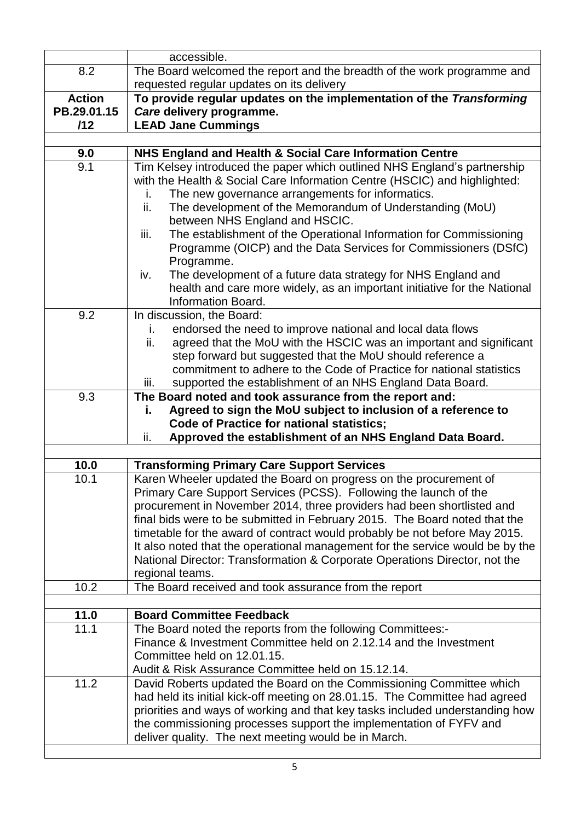|                   | accessible.                                                                                                             |
|-------------------|-------------------------------------------------------------------------------------------------------------------------|
| 8.2               | The Board welcomed the report and the breadth of the work programme and<br>requested regular updates on its delivery    |
| <b>Action</b>     | To provide regular updates on the implementation of the Transforming                                                    |
| PB.29.01.15       | Care delivery programme.                                                                                                |
| /12               | <b>LEAD Jane Cummings</b>                                                                                               |
|                   |                                                                                                                         |
| 9.0               | NHS England and Health & Social Care Information Centre                                                                 |
| 9.1               | Tim Kelsey introduced the paper which outlined NHS England's partnership                                                |
|                   | with the Health & Social Care Information Centre (HSCIC) and highlighted:                                               |
|                   | The new governance arrangements for informatics.<br>i.                                                                  |
|                   | ii.<br>The development of the Memorandum of Understanding (MoU)                                                         |
|                   | between NHS England and HSCIC.                                                                                          |
|                   | The establishment of the Operational Information for Commissioning<br>iii.                                              |
|                   | Programme (OICP) and the Data Services for Commissioners (DSfC)<br>Programme.                                           |
|                   | The development of a future data strategy for NHS England and<br>iv.                                                    |
|                   | health and care more widely, as an important initiative for the National                                                |
|                   | Information Board.                                                                                                      |
| 9.2               | In discussion, the Board:                                                                                               |
|                   | endorsed the need to improve national and local data flows<br>i.                                                        |
|                   | agreed that the MoU with the HSCIC was an important and significant<br>ii.                                              |
|                   | step forward but suggested that the MoU should reference a                                                              |
|                   | commitment to adhere to the Code of Practice for national statistics                                                    |
|                   | supported the establishment of an NHS England Data Board.<br>iii.                                                       |
| 9.3               | The Board noted and took assurance from the report and:                                                                 |
|                   | Agreed to sign the MoU subject to inclusion of a reference to<br>i.<br><b>Code of Practice for national statistics;</b> |
|                   | Approved the establishment of an NHS England Data Board.<br>ii.                                                         |
|                   |                                                                                                                         |
| 10.0              | <b>Transforming Primary Care Support Services</b>                                                                       |
| 10.1              | Karen Wheeler updated the Board on progress on the procurement of                                                       |
|                   | Primary Care Support Services (PCSS). Following the launch of the                                                       |
|                   | procurement in November 2014, three providers had been shortlisted and                                                  |
|                   | final bids were to be submitted in February 2015. The Board noted that the                                              |
|                   | timetable for the award of contract would probably be not before May 2015.                                              |
|                   | It also noted that the operational management for the service would be by the                                           |
|                   | National Director: Transformation & Corporate Operations Director, not the<br>regional teams.                           |
| 10.2              | The Board received and took assurance from the report                                                                   |
|                   |                                                                                                                         |
| 11.0              | <b>Board Committee Feedback</b>                                                                                         |
| $\overline{1}1.1$ | The Board noted the reports from the following Committees:-                                                             |
|                   | Finance & Investment Committee held on 2.12.14 and the Investment                                                       |
|                   | Committee held on 12.01.15.                                                                                             |
|                   | Audit & Risk Assurance Committee held on 15.12.14.                                                                      |
| 11.2              | David Roberts updated the Board on the Commissioning Committee which                                                    |
|                   | had held its initial kick-off meeting on 28.01.15. The Committee had agreed                                             |
|                   | priorities and ways of working and that key tasks included understanding how                                            |
|                   | the commissioning processes support the implementation of FYFV and                                                      |
|                   | deliver quality. The next meeting would be in March.                                                                    |